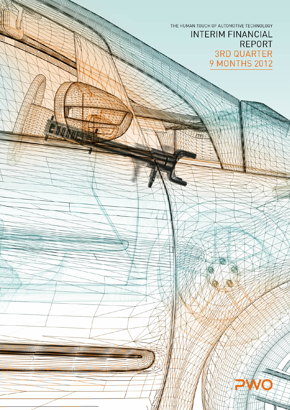THE HUMAN TOUCH OF AUTOMOTIVE TECHNOLOGY **INTERIM FINANCIAL REPORT 3RD QUARTER** 9 MONTHS 2012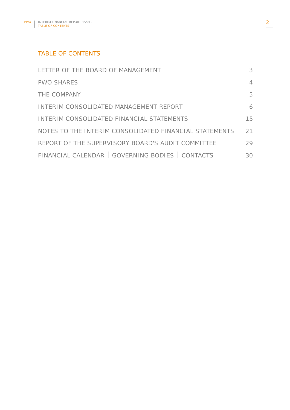# TABLE OF CONTENTS

| LETTER OF THE BOARD OF MANAGEMENT                      | 3  |
|--------------------------------------------------------|----|
| <b>PWO SHARES</b>                                      | 4  |
| THE COMPANY                                            | 5  |
| INTERIM CONSOLIDATED MANAGEMENT REPORT                 | 6  |
| INTERIM CONSOLIDATED FINANCIAL STATEMENTS              | 15 |
| NOTES TO THE INTERIM CONSOLIDATED FINANCIAL STATEMENTS | 21 |
| REPORT OF THE SUPERVISORY BOARD'S AUDIT COMMITTEE      | 29 |
| FINANCIAL CALENDAR   GOVERNING BODIES   CONTACTS       | 30 |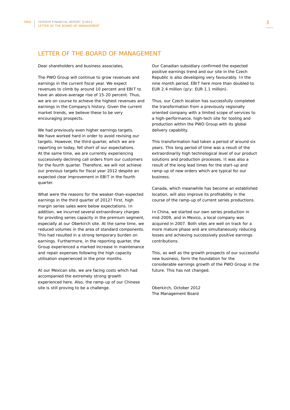# LETTER OF THE BOARD OF MANAGEMENT

Dear shareholders and business associates,

The PWO Group will continue to grow revenues and earnings in the current fiscal year. We expect revenues to climb by around 10 percent and EBIT to have an above-average rise of 15-20 percent. Thus, we are on course to achieve the highest revenues and earnings in the Company's history. Given the current market trends, we believe these to be very encouraging prospects.

We had previously even higher earnings targets. We have worked hard in order to avoid revising our targets. However, the third quarter, which we are reporting on today, fell short of our expectations. At the same time, we are currently experiencing successively declining call orders from our customers for the fourth quarter. Therefore, we will not achieve our previous targets for fiscal year 2012 despite an expected clear improvement in EBIT in the fourth quarter.

What were the reasons for the weaker-than-expected earnings in the third quarter of 2012? First, high margin series sales were below expectations. In addition, we incurred several extraordinary charges for providing series capacity in the premium segment, especially at our Oberkirch site. At the same time, we reduced volumes in the area of standard components. This had resulted in a strong temporary burden on earnings. Furthermore, in the reporting quarter, the Group experienced a marked increase in maintenance and repair expenses following the high capacity utilisation experienced in the prior months.

At our Mexican site, we are facing costs which had accompanied the extremely strong growth experienced here. Also, the ramp-up of our Chinese site is still proving to be a challenge.

Our Canadian subsidiary confirmed the expected positive earnings trend and our site in the Czech Republic is also developing very favourably. In the nine month period, EBIT here more than doubled to EUR 2.4 million (p/y: EUR 1.1 million).

Thus, our Czech location has successfully completed the transformation from a previously regionally oriented company with a limited scope of services to a high-performance, high-tech site for tooling and production within the PWO Group with its global delivery capability.

This transformation had taken a period of around six years. This long period of time was a result of the extraordinarily high technological level of our product solutions and production processes. It was also a result of the long lead times for the start-up and ramp-up of new orders which are typical for our business.

Canada, which meanwhile has become an established location, will also improve its profitability in the course of the ramp-up of current series productions.

In China, we started our own series production in mid-2009, and in Mexico, a local company was acquired in 2007. Both sites are well on track for a more mature phase and are simultaneously reducing losses and achieving successively positive earnings contributions.

This, as well as the growth prospects of our successful new business, form the foundation for the considerable earnings growth of the PWO Group in the future. This has not changed.

Oberkirch, October 2012 The Management Board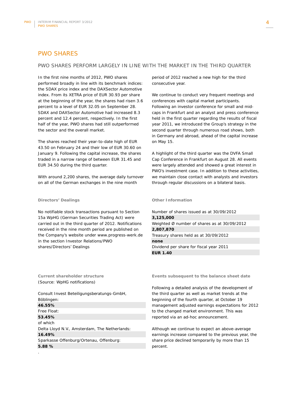# PWO SHARES

#### PWO SHARES PERFORM LARGELY IN LINE WITH THE MARKET IN THE THIRD QUARTER

In the first nine months of 2012, PWO shares performed broadly in line with its benchmark indices: the SDAX price index and the DAXSector Automotive index. From its XETRA price of EUR 30.93 per share at the beginning of the year, the shares had risen 3.6 percent to a level of EUR 32.05 on September 28. SDAX and DAXSector Automotive had increased 8.3 percent and 12.4 percent, respectively. In the first half of the year, PWO shares had still outperformed the sector and the overall market.

The shares reached their year-to-date high of EUR 43.50 on February 24 and their low of EUR 30.60 on January 9. Following the capital increase, the shares traded in a narrow range of between EUR 31.45 and EUR 34.50 during the third quarter.

With around 2,200 shares, the average daily turnover on all of the German exchanges in the nine month

#### **Directors' Dealings**

No notifiable stock transactions pursuant to Section 15a WpHG (German Securities Trading Act) were carried out in the third quarter of 2012. Notifications received in the nine month period are published on the Company's website under www.progress-werk.de in the section Investor Relations/PWO shares/Directors' Dealings

**Current shareholder structure**  (Source: WpHG notifications)

.

Consult Invest Beteiligungsberatungs-GmbH, Böblingen: **46.55%**  Free Float: **53.45%**  of which Delta Lloyd N.V., Amsterdam, The Netherlands: **16.49%**  Sparkasse Offenburg/Ortenau, Offenburg: **5.88 %** 

period of 2012 reached a new high for the third consecutive year.

We continue to conduct very frequent meetings and conferences with capital market participants. Following an investor conference for small and midcaps in Frankfurt and an analyst and press conference held in the first quarter regarding the results of fiscal year 2011, we introduced the Group's strategy in the second quarter through numerous road shows, both in Germany and abroad, ahead of the capital increase on May 15.

A highlight of the third quarter was the DVFA Small Cap Conference in Frankfurt on August 28. All events were largely attended and showed a great interest in PWO's investment case. In addition to these activities, we maintain close contact with analysts and investors through regular discussions on a bilateral basis.

#### **Other Information**

Number of shares issued as at 30/09/2012 **3,125,000**  Weighted Ø number of shares as at 30/09/2012 **2,807,870**  Treasury shares held as at 30/09/2012 **none**  Dividend per share for fiscal year 2011 **EUR 1.40** 

**Events subsequent to the balance sheet date** 

Following a detailed analysis of the development of the third quarter as well as market trends at the beginning of the fourth quarter, at October 19 management adjusted earnings expectations for 2012 to the changed market environment. This was reported via an ad-hoc announcement.

Although we continue to expect an above-average earnings increase compared to the previous year, the share price declined temporarily by more than 15 percent.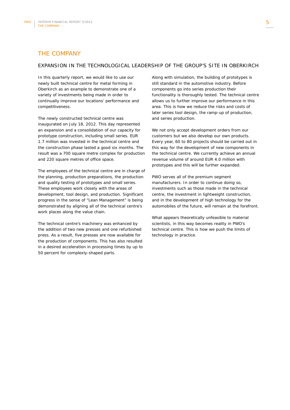# THE COMPANY

## EXPANSION IN THE TECHNOLOGICAL LEADERSHIP OF THE GROUP'S SITE IN OBERKIRCH

In this quarterly report, we would like to use our newly built technical centre for metal forming in Oberkirch as an example to demonstrate one of a variety of investments being made in order to continually improve our locations' performance and competitiveness.

The newly constructed technical centre was inaugurated on July 18, 2012. This day represented an expansion and a consolidation of our capacity for prototype construction, including small series. EUR 1.7 million was invested in the technical centre and the construction phase lasted a good six months. The result was a 700 square metre complex for production and 220 square metres of office space.

The employees of the technical centre are in charge of the planning, production preparations, the production and quality testing of prototypes and small series. These employees work closely with the areas of development, tool design, and production. Significant progress in the sense of "Lean Management" is being demonstrated by aligning all of the technical centre's work places along the value chain.

The technical centre's machinery was enhanced by the addition of two new presses and one refurbished press. As a result, five presses are now available for the production of components. This has also resulted in a desired acceleration in processing times by up to 50 percent for complexly-shaped parts.

Along with simulation, the building of prototypes is still standard in the automotive industry. Before components go into series production their functionality is thoroughly tested. The technical centre allows us to further improve our performance in this area. This is how we reduce the risks and costs of later series tool design, the ramp-up of production, and series production.

We not only accept development orders from our customers but we also develop our own products. Every year, 60 to 80 projects should be carried out in this way for the development of new components in the technical centre. We currently achieve an annual revenue volume of around EUR 4.0 million with prototypes and this will be further expanded.

PWO serves all of the premium segment manufacturers. In order to continue doing so, investments such as those made in the technical centre, the investment in lightweight construction, and in the development of high technology for the automobiles of the future, will remain at the forefront.

What appears theoretically unfeasible to material scientists, in this way becomes reality in PWO's technical centre. This is how we push the limits of technology in practice.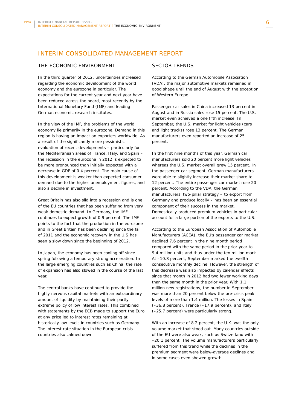# INTERIM CONSOLIDATED MANAGEMENT REPORT

## THE ECONOMIC ENVIRONMENT

In the third quarter of 2012, uncertainties increased regarding the economic development of the world economy and the eurozone in particular. The expectations for the current year and next year have been reduced across the board, most recently by the International Monetary Fund (IMF) and leading German economic research institutes.

In the view of the IMF, the problems of the world economy lie primarily in the eurozone. Demand in this region is having an impact on exporters worldwide. As a result of the significantly more pessimistic evaluation of recent developments – particularly for the Mediterranean areas of France, Italy, and Spain – the recession in the eurozone in 2012 is expected to be more pronounced than initially expected with a decrease in GDP of 0.4 percent. The main cause of this development is weaker than expected consumer demand due to the higher unemployment figures, and also a decline in investment.

Great Britain has also slid into a recession and is one of the EU countries that has been suffering from very weak domestic demand. In Germany, the IMF continues to expect growth of 0.9 percent. The IMF points to the fact that the production in the eurozone and in Great Britain has been declining since the fall of 2011 and the economic recovery in the U.S has seen a slow down since the beginning of 2012.

In Japan, the economy has been cooling off since spring following a temporary strong acceleration. In the large emerging countries such as China, the rate of expansion has also slowed in the course of the last year.

The central banks have continued to provide the highly nervous capital markets with an extraordinary amount of liquidity by maintaining their partly extreme policy of low interest rates. This combined with statements by the ECB made to support the Euro at any price led to interest rates remaining at historically low levels in countries such as Germany. The interest rate situation in the European crisis countries also calmed down.

#### SECTOR TRENDS

According to the German Automobile Association (VDA), the major automotive markets remained in good shape until the end of August with the exception of Western Europe.

Passenger car sales in China increased 13 percent in August and in Russia sales rose 15 percent. The U.S. market even achieved a one fifth increase. In September, the U.S. market for light vehicles (cars and light trucks) rose 13 percent. The German manufacturers even reported an increase of 25 percent.

In the first nine months of this year, German car manufacturers sold 20 percent more light vehicles whereas the U.S. market overall grew 15 percent. In the passenger car segment, German manufacturers were able to slightly increase their market share to 12 percent. The entire passenger car market rose 20 percent. According to the VDA, the German manufacturers' two-pillar strategy – to export from Germany and produce locally – has been an essential component of their success in the market. Domestically produced premium vehicles in particular account for a large portion of the exports to the U.S.

According to the European Association of Automobile Manufacturers (ACEA), the EU's passenger car market declined 7.6 percent in the nine month period compared with the same period in the prior year to 9.4 million units and thus under the ten million mark. At –10.8 percent, September marked the twelfth consecutive monthly decline. However, the strength of this decrease was also impacted by calendar effects since that month in 2012 had two fewer working days than the same month in the prior year. With 1.1 million new registrations, the number in September was more than 20 percent below the pre-crisis peak levels of more than 1.4 million. The losses in Spain (–36.8 percent), France (–17.9 percent), and Italy (–25.7 percent) were particularly strong.

With an increase of 8.2 percent, the U.K. was the only volume market that stood out. Many countries outside of the EU were also weak, such as Switzerland with –20.1 percent. The volume manufacturers particularly suffered from this trend while the declines in the premium segment were below-average declines and in some cases even showed growth.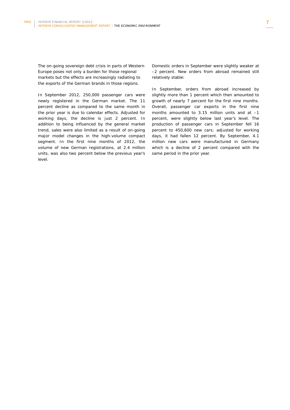The on-going sovereign debt crisis in parts of Western Europe poses not only a burden for those regional markets but the effects are increasingly radiating to the exports of the German brands in those regions.

In September 2012, 250,000 passenger cars were newly registered in the German market. The 11 percent decline as compared to the same month in the prior year is due to calendar effects. Adjusted for working days, the decline is just 2 percent. In addition to being influenced by the general market trend, sales were also limited as a result of on-going major model changes in the high-volume compact segment. In the first nine months of 2012, the volume of new German registrations, at 2.4 million units, was also two percent below the previous year's level.

Domestic orders in September were slightly weaker at –2 percent. New orders from abroad remained still relatively stable:

In September, orders from abroad increased by slightly more than 1 percent which then amounted to growth of nearly 7 percent for the first nine months. Overall, passenger car exports in the first nine months amounted to 3.15 million units and at –1 percent, were slightly below last year's level. The production of passenger cars in September fell 16 percent to 450,600 new cars; adjusted for working days, it had fallen 12 percent. By September, 4.1 million new cars were manufactured in Germany which is a decline of 2 percent compared with the same period in the prior year.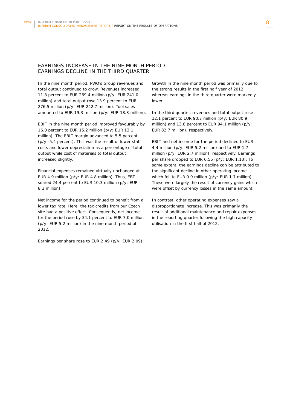## EARNINGS INCREASE IN THE NINE MONTH PERIOD EARNINGS DECLINE IN THE THIRD QUARTER

In the nine month period, PWO's Group revenues and total output continued to grow. Revenues increased 11.8 percent to EUR 269.4 million (p/y: EUR 241.0 million) and total output rose 13.9 percent to EUR 276.5 million (p/y: EUR 242.7 million). Tool sales amounted to EUR 19.3 million (p/y: EUR 18.3 million).

EBIT in the nine month period improved favourably by 16.0 percent to EUR 15.2 million (p/y: EUR 13.1 million). The EBIT margin advanced to 5.5 percent (p/y: 5.4 percent). This was the result of lower staff costs and lower depreciation as a percentage of total output while cost of materials to total output increased slightly.

Financial expenses remained virtually unchanged at EUR 4.9 million (p/y: EUR 4.8 million). Thus, EBT soared 24.4 percent to EUR 10.3 million (p/y: EUR 8.3 million).

Net income for the period continued to benefit from a lower tax rate. Here, the tax credits from our Czech site had a positive effect. Consequently, net income for the period rose by 34.1 percent to EUR 7.0 million (p/y: EUR 5.2 million) in the nine month period of 2012.

Earnings per share rose to EUR 2.49 (p/y: EUR 2.09).

Growth in the nine month period was primarily due to the strong results in the first half year of 2012 whereas earnings in the third quarter were markedly lower.

In the third quarter, revenues and total output rose 12.1 percent to EUR 90.7 million (p/y: EUR 80.9 million) and 13.8 percent to EUR 94.1 million (p/y: EUR 82.7 million), respectively.

EBIT and net income for the period declined to EUR 4.4 million (p/y: EUR 5.2 million) and to EUR 1.7 million (p/y: EUR 2.7 million), respectively. Earnings per share dropped to EUR 0.55 (p/y: EUR 1.10). To some extent, the earnings decline can be attributed to the significant decline in other operating income which fell to EUR 0.9 million (p/y: EUR 1.7 million). These were largely the result of currency gains which were offset by currency losses in the same amount.

In contrast, other operating expenses saw a disproportionate increase. This was primarily the result of additional maintenance and repair expenses in the reporting quarter following the high capacity utilisation in the first half of 2012.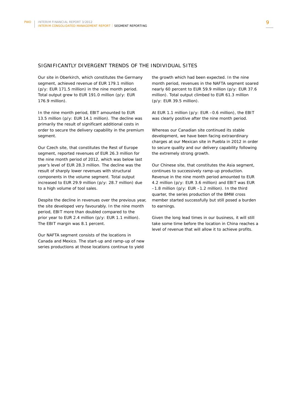## SIGNIFICANTLY DIVERGENT TRENDS OF THE INDIVIDUAL SITES

Our site in Oberkirch, which constitutes the Germany segment, achieved revenue of EUR 179.1 million (p/y: EUR 171.5 million) in the nine month period. Total output grew to EUR 191.0 million (p/y: EUR 176.9 million).

In the nine month period, EBIT amounted to EUR 13.5 million (p/y: EUR 14.1 million). The decline was primarily the result of significant additional costs in order to secure the delivery capability in the premium segment.

Our Czech site, that constitutes the Rest of Europe segment, reported revenues of EUR 26.3 million for the nine month period of 2012, which was below last year's level of EUR 28.3 million. The decline was the result of sharply lower revenues with structural components in the volume segment. Total output increased to EUR 29.9 million (p/y: 28.7 million) due to a high volume of tool sales.

Despite the decline in revenues over the previous year, the site developed very favourably. In the nine month period, EBIT more than doubled compared to the prior year to EUR 2.4 million (p/y: EUR 1.1 million). The EBIT margin was 8.1 percent.

Our NAFTA segment consists of the locations in Canada and Mexico. The start-up and ramp-up of new series productions at those locations continue to yield

the growth which had been expected. In the nine month period, revenues in the NAFTA segment soared nearly 60 percent to EUR 59.9 million (p/y: EUR 37.6 million). Total output climbed to EUR 61.3 million (p/y: EUR 39.5 million).

At EUR 1.1 million (p/y: EUR –0.6 million), the EBIT was clearly positive after the nine month period.

Whereas our Canadian site continued its stable development, we have been facing extraordinary charges at our Mexican site in Puebla in 2012 in order to secure quality and our delivery capability following the extremely strong growth.

Our Chinese site, that constitutes the Asia segment, continues to successively ramp-up production. Revenue in the nine month period amounted to EUR 4.2 million (p/y: EUR 3.6 million) and EBIT was EUR –1.8 million (p/y: EUR –1.2 million). In the third quarter, the series production of the BMW cross member started successfully but still posed a burden to earnings.

Given the long lead times in our business, it will still take some time before the location in China reaches a level of revenue that will allow it to achieve profits.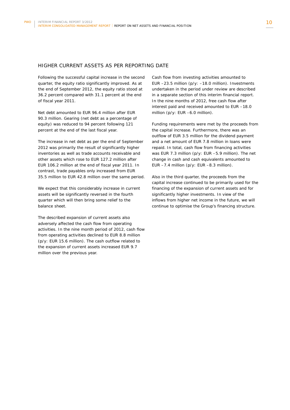## HIGHER CURRENT ASSETS AS PER REPORTING DATE

Following the successful capital increase in the second quarter, the equity ratio significantly improved. As at the end of September 2012, the equity ratio stood at 36.2 percent compared with 31.1 percent at the end of fiscal year 2011.

Net debt amounted to EUR 96.4 million after EUR 90.3 million. Gearing (net debt as a percentage of equity) was reduced to 94 percent following 121 percent at the end of the last fiscal year.

The increase in net debt as per the end of September 2012 was primarily the result of significantly higher inventories as well as trade accounts receivable and other assets which rose to EUR 127.2 million after EUR 106.2 million at the end of fiscal year 2011. In contrast, trade payables only increased from EUR 35.5 million to EUR 42.8 million over the same period.

We expect that this considerably increase in current assets will be significantly reversed in the fourth quarter which will then bring some relief to the balance sheet.

The described expansion of current assets also adversely affected the cash flow from operating activities. In the nine month period of 2012, cash flow from operating activities declined to EUR 8.8 million (p/y: EUR 15.6 million). The cash outflow related to the expansion of current assets increased EUR 9.7 million over the previous year.

Cash flow from investing activities amounted to EUR –23.5 million (p/y: –18.0 million). Investments undertaken in the period under review are described in a separate section of this interim financial report. In the nine months of 2012, free cash flow after interest paid and received amounted to EUR –18.0 million (p/y: EUR –6.0 million).

Funding requirements were met by the proceeds from the capital increase. Furthermore, there was an outflow of EUR 3.5 million for the dividend payment and a net amount of EUR 7.8 million in loans were repaid. In total, cash flow from financing activities was EUR 7.3 million (p/y: EUR –5.9 million). The net change in cash and cash equivalents amounted to EUR  $-7.4$  million (p/y: EUR  $-8.3$  million).

Also in the third quarter, the proceeds from the capital increase continued to be primarily used for the financing of the expansion of current assets and for significantly higher investments. In view of the inflows from higher net income in the future, we will continue to optimise the Group's financing structure.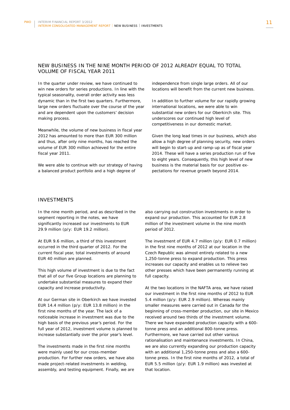## NEW BUSINESS IN THE NINE MONTH PERIOD OF 2012 ALREADY EQUAL TO TOTAL VOLUME OF FISCAL YEAR 2011

In the quarter under review, we have continued to win new orders for series productions. In line with the typical seasonality, overall order activity was less dynamic than in the first two quarters. Furthermore, large new orders fluctuate over the course of the year and are dependent upon the customers' decision making process.

Meanwhile, the volume of new business in fiscal year 2012 has amounted to more than EUR 300 million and thus, after only nine months, has reached the volume of EUR 300 million achieved for the entire fiscal year 2011.

We were able to continue with our strategy of having a balanced product portfolio and a high degree of

independence from single large orders. All of our locations will benefit from the current new business.

In addition to further volume for our rapidly growing international locations, we were able to win substantial new orders for our Oberkirch site. This underscores our continued high level of competitiveness in our domestic market.

Given the long lead times in our business, which also allow a high degree of planning security, new orders will begin to start-up and ramp-up as of fiscal year 2014. These will have a series production run of five to eight years. Consequently, this high level of new business is the material basis for our positive expectations for revenue growth beyond 2014.

## INVESTMENTS

In the nine month period, and as described in the segment reporting in the notes, we have significantly increased our investments to EUR 29.9 million (p/y: EUR 19.2 million).

At EUR 9.6 million, a third of this investment occurred in the third quarter of 2012. For the current fiscal year, total investments of around EUR 40 million are planned.

This high volume of investment is due to the fact that all of our five Group locations are planning to undertake substantial measures to expand their capacity and increase productivity.

At our German site in Oberkirch we have invested EUR 14.4 million (p/y: EUR 13.8 million) in the first nine months of the year. The lack of a noticeable increase in investment was due to the high basis of the previous year's period. For the full year of 2012, investment volume is planned to increase substantially over the prior year's level.

The investments made in the first nine months were mainly used for our cross-member production. For further new orders, we have also made project-related investments in welding, assembly, and testing equipment. Finally, we are

also carrying out construction investments in order to expand our production. This accounted for EUR 2.8 million of the investment volume in the nine month period of 2012.

The investment of EUR 4.7 million (p/y: EUR 0.7 million) in the first nine months of 2012 at our location in the Czech Republic was almost entirely related to a new 1,250-tonne press to expand production. This press increases our capacity and enables us to relieve two other presses which have been permanently running at full capacity.

At the two locations in the NAFTA area, we have raised our investment in the first nine months of 2012 to EUR 5.4 million (p/y: EUR 2.9 million). Whereas mainly smaller measures were carried out in Canada for the beginning of cross-member production, our site in Mexico received around two thirds of the investment volume. There we have expanded production capacity with a 600 tonne press and an additional 800-tonne press. Furthermore, we have carried out other various rationalisation and maintenance investments. In China, we are also currently expanding our production capacity with an additional 1,250-tonne press and also a 600 tonne press. In the first nine months of 2012, a total of EUR 5.5 million (p/y: EUR 1.9 million) was invested at that location.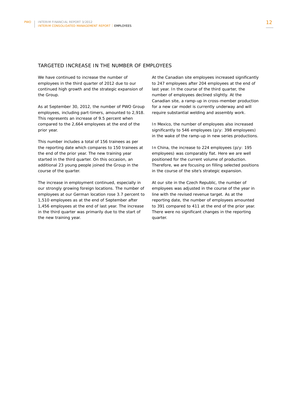### TARGETED INCREASE IN THE NUMBER OF EMPLOYEES

We have continued to increase the number of employees in the third quarter of 2012 due to our continued high growth and the strategic expansion of the Group.

As at September 30, 2012, the number of PWO Group employees, including part-timers, amounted to 2,918. This represents an increase of 9.5 percent when compared to the 2,664 employees at the end of the prior year.

This number includes a total of 156 trainees as per the reporting date which compares to 150 trainees at the end of the prior year. The new training year started in the third quarter. On this occasion, an additional 23 young people joined the Group in the course of the quarter.

The increase in employment continued, especially in our strongly growing foreign locations. The number of employees at our German location rose 3.7 percent to 1,510 employees as at the end of September after 1,456 employees at the end of last year. The increase in the third quarter was primarily due to the start of the new training year.

At the Canadian site employees increased significantly to 247 employees after 204 employees at the end of last year. In the course of the third quarter, the number of employees declined slightly. At the Canadian site, a ramp-up in cross-member production for a new car model is currently underway and will require substantial welding and assembly work.

In Mexico, the number of employees also increased significantly to 546 employees (p/y: 398 employees) in the wake of the ramp-up in new series productions.

In China, the increase to 224 employees (p/y: 195 employees) was comparably flat. Here we are well positioned for the current volume of production. Therefore, we are focusing on filling selected positions in the course of the site's strategic expansion.

At our site in the Czech Republic, the number of employees was adjusted in the course of the year in line with the revised revenue target. As at the reporting date, the number of employees amounted to 391 compared to 411 at the end of the prior year. There were no significant changes in the reporting quarter.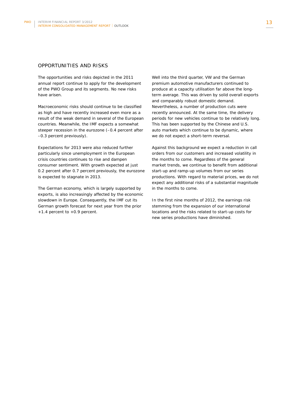### OPPORTUNITIES AND RISKS

The opportunities and risks depicted in the 2011 annual report continue to apply for the development of the PWO Group and its segments. No new risks have arisen.

Macroeconomic risks should continue to be classified as high and have recently increased even more as a result of the weak demand in several of the European countries. Meanwhile, the IMF expects a somewhat steeper recession in the eurozone (–0.4 percent after –0.3 percent previously).

Expectations for 2013 were also reduced further particularly since unemployment in the European crisis countries continues to rise and dampen consumer sentiment. With growth expected at just 0.2 percent after 0.7 percent previously, the eurozone is expected to stagnate in 2013.

The German economy, which is largely supported by exports, is also increasingly affected by the economic slowdown in Europe. Consequently, the IMF cut its German growth forecast for next year from the prior +1.4 percent to +0.9 percent.

Well into the third quarter, VW and the German premium automotive manufacturers continued to produce at a capacity utilisation far above the longterm average. This was driven by solid overall exports and comparably robust domestic demand. Nevertheless, a number of production cuts were recently announced. At the same time, the delivery periods for new vehicles continue to be relatively long. This has been supported by the Chinese and U.S. auto markets which continue to be dynamic, where we do not expect a short-term reversal.

Against this background we expect a reduction in call orders from our customers and increased volatility in the months to come. Regardless of the general market trends, we continue to benefit from additional start-up and ramp-up volumes from our series productions. With regard to material prices, we do not expect any additional risks of a substantial magnitude in the months to come.

In the first nine months of 2012, the earnings risk stemming from the expansion of our international locations and the risks related to start-up costs for new series productions have diminished.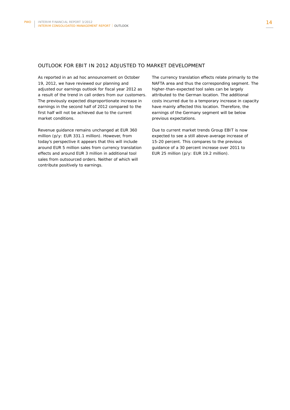## OUTLOOK FOR EBIT IN 2012 ADJUSTED TO MARKET DEVELOPMENT

As reported in an ad hoc announcement on October 19, 2012, we have reviewed our planning and adjusted our earnings outlook for fiscal year 2012 as a result of the trend in call orders from our customers. The previously expected disproportionate increase in earnings in the second half of 2012 compared to the first half will not be achieved due to the current market conditions.

Revenue guidance remains unchanged at EUR 360 million (p/y: EUR 331.1 million). However, from today's perspective it appears that this will include around EUR 5 million sales from currency translation effects and around EUR 3 million in additional tool sales from outsourced orders. Neither of which will contribute positively to earnings.

The currency translation effects relate primarily to the NAFTA area and thus the corresponding segment. The higher-than-expected tool sales can be largely attributed to the German location. The additional costs incurred due to a temporary increase in capacity have mainly affected this location. Therefore, the earnings of the Germany segment will be below previous expectations.

Due to current market trends Group EBIT is now expected to see a still above-average increase of 15-20 percent. This compares to the previous guidance of a 30 percent increase over 2011 to EUR 25 million (p/y: EUR 19.2 million).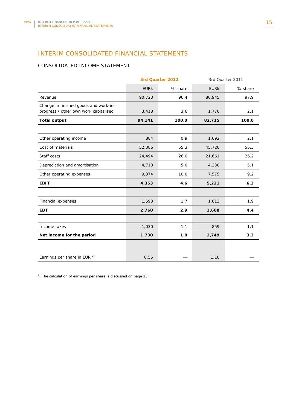# INTERIM CONSOLIDATED FINANCIAL STATEMENTS

# CONSOLIDATED INCOME STATEMENT

|                                                                                | 3rd Quarter 2012 |         | 3rd Quarter 2011 |         |
|--------------------------------------------------------------------------------|------------------|---------|------------------|---------|
|                                                                                | <b>EURK</b>      | % share | <b>EURK</b>      | % share |
| Revenue                                                                        | 90,723           | 96.4    | 80,945           | 97.9    |
| Change in finished goods and work-in-<br>progress / other own work capitalised | 3,418            | 3.6     | 1,770            | 2.1     |
| <b>Total output</b>                                                            | 94,141           | 100.0   | 82,715           | 100.0   |
|                                                                                |                  |         |                  |         |
| Other operating income                                                         | 884              | 0.9     | 1,692            | 2.1     |
| Cost of materials                                                              | 52,086           | 55.3    | 45,720           | 55.3    |
| Staff costs                                                                    | 24,494           | 26.0    | 21,661           | 26.2    |
| Depreciation and amortisation                                                  | 4,718            | 5.0     | 4,230            | 5.1     |
| Other operating expenses                                                       | 9,374            | 10.0    | 7,575            | 9.2     |
| <b>EBIT</b>                                                                    | 4,353            | 4.6     | 5,221            | 6.3     |
|                                                                                |                  |         |                  |         |
| Financial expenses                                                             | 1,593            | 1.7     | 1,613            | 1.9     |
| <b>EBT</b>                                                                     | 2,760            | 2.9     | 3,608            | 4.4     |
|                                                                                |                  |         |                  |         |
| Income taxes                                                                   | 1,030            | 1.1     | 859              | 1.1     |
| Net income for the period                                                      | 1,730            | 1.8     | 2,749            | 3.3     |
|                                                                                |                  |         |                  |         |
| Earnings per share in EUR $1$                                                  | 0.55             |         | 1.10             |         |

 $1)$  The calculation of earnings per share is discussed on page 23.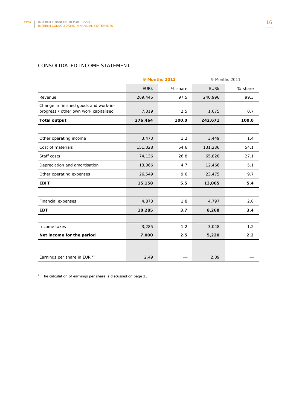# CONSOLIDATED INCOME STATEMENT

|                                                                                | <b>9 Months 2012</b> |         | 9 Months 2011 |         |
|--------------------------------------------------------------------------------|----------------------|---------|---------------|---------|
|                                                                                | <b>EURK</b>          | % share | <b>EURK</b>   | % share |
| Revenue                                                                        | 269,445              | 97.5    | 240,996       | 99.3    |
| Change in finished goods and work-in-<br>progress / other own work capitalised | 7,019                | 2.5     | 1,675         | 0.7     |
| <b>Total output</b>                                                            | 276,464              | 100.0   | 242,671       | 100.0   |
|                                                                                |                      |         |               |         |
| Other operating income                                                         | 3,473                | 1.2     | 3,449         | 1.4     |
| Cost of materials                                                              | 151,028              | 54.6    | 131,286       | 54.1    |
| Staff costs                                                                    | 74,136               | 26.8    | 65,828        | 27.1    |
| Depreciation and amortisation                                                  | 13,066               | 4.7     | 12,466        | 5.1     |
| Other operating expenses                                                       | 26,549               | 9.6     | 23,475        | 9.7     |
| <b>EBIT</b>                                                                    | 15,158               | 5.5     | 13,065        | 5.4     |
|                                                                                |                      |         |               |         |
| Financial expenses                                                             | 4,873                | 1.8     | 4,797         | 2.0     |
| <b>EBT</b>                                                                     | 10,285               | 3.7     | 8,268         | 3.4     |
|                                                                                |                      |         |               |         |
| Income taxes                                                                   | 3,285                | 1.2     | 3,048         | 1.2     |
| Net income for the period                                                      | 7,000                | 2.5     | 5,220         | 2.2     |
|                                                                                |                      |         |               |         |
| Earnings per share in EUR <sup>1)</sup>                                        | 2.49                 |         | 2.09          |         |

 $1)$  The calculation of earnings per share is discussed on page 23.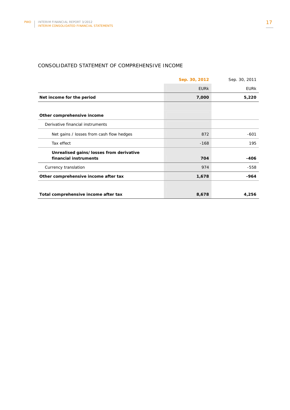# CONSOLIDATED STATEMENT OF COMPREHENSIVE INCOME

|                                          | Sep. 30, 2012 | Sep. 30, 2011 |
|------------------------------------------|---------------|---------------|
|                                          | <b>EURK</b>   | <b>EURK</b>   |
| Net income for the period                | 7,000         | 5,220         |
|                                          |               |               |
| Other comprehensive income               |               |               |
| Derivative financial instruments         |               |               |
| Net gains / losses from cash flow hedges | 872           | $-601$        |
| Tax effect                               | $-168$        | 195           |
| Unrealised gains/losses from derivative  |               |               |
| financial instruments                    | 704           | $-406$        |
| Currency translation                     | 974           | $-558$        |
| Other comprehensive income after tax     | 1,678         | -964          |
|                                          |               |               |
| Total comprehensive income after tax     | 8,678         | 4,256         |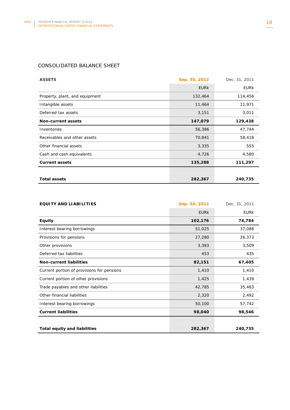# CONSOLIDATED BALANCE SHEET

| <b>ASSETS</b>                  | Sep. 30, 2012 | Dec. 31, 2011 |
|--------------------------------|---------------|---------------|
|                                | <b>EURK</b>   | <b>EURK</b>   |
| Property, plant, and equipment | 132,464       | 114,456       |
| Intangible assets              | 11,464        | 11,971        |
| Deferred tax assets            | 3,151         | 3,011         |
| <b>Non-current assets</b>      | 147,079       | 129,438       |
| Inventories                    | 56,386        | 47,744        |
| Receivables and other assets   | 70,841        | 58,418        |
| Other financial assets         | 3,335         | 555           |
| Cash and cash equivalents      | 4,726         | 4,580         |
| <b>Current assets</b>          | 135,288       | 111,297       |
|                                |               |               |
| <b>Total assets</b>            | 282,367       | 240,735       |

| <b>EQUITY AND LIABILITIES</b>              | Sep. 30, 2012 | Dec. 31, 2011 |
|--------------------------------------------|---------------|---------------|
|                                            | <b>EURK</b>   | <b>EURK</b>   |
| <b>Equity</b>                              | 102,176       | 74,784        |
| Interest-bearing borrowings                | 51,025        | 37,088        |
| Provisions for pensions                    | 27,280        | 26,373        |
| Other provisions                           | 3,393         | 3,509         |
| Deferred tax liabilities                   | 453           | 435           |
| <b>Non-current liabilities</b>             | 82,151        | 67,405        |
| Current portion of provisions for pensions | 1,410         | 1,410         |
| Current portion of other provisions        | 1,425         | 1,439         |
| Trade payables and other liabilities       | 42,785        | 35,463        |
| Other financial liabilities                | 2,320         | 2,492         |
| Interest-bearing borrowings                | 50,100        | 57,742        |
| <b>Current liabilities</b>                 | 98,040        | 98,546        |
|                                            |               |               |
| <b>Total equity and liabilities</b>        | 282,367       | 240,735       |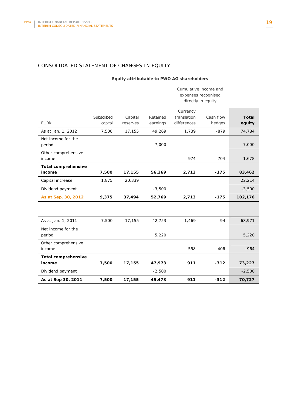# CONSOLIDATED STATEMENT OF CHANGES IN EQUITY

|                                      | Equity attributable to PWO AG shareholders |                     |                      |                                                                    |                     |                        |
|--------------------------------------|--------------------------------------------|---------------------|----------------------|--------------------------------------------------------------------|---------------------|------------------------|
|                                      |                                            |                     |                      | Cumulative income and<br>expenses recognised<br>directly in equity |                     |                        |
| <b>EURK</b>                          | Subscribed<br>capital                      | Capital<br>reserves | Retained<br>earnings | Currency<br>translation<br>differences                             | Cash flow<br>hedges | <b>Total</b><br>equity |
| As at Jan. 1, 2012                   | 7,500                                      | 17,155              | 49,269               | 1,739                                                              | $-879$              | 74,784                 |
| Net income for the<br>period         |                                            |                     | 7,000                |                                                                    |                     | 7,000                  |
| Other comprehensive<br>income        |                                            |                     |                      | 974                                                                | 704                 | 1,678                  |
| <b>Total comprehensive</b><br>income | 7,500                                      | 17,155              | 56,269               | 2,713                                                              | $-175$              | 83,462                 |
| Capital increase                     | 1,875                                      | 20,339              |                      |                                                                    |                     | 22,214                 |
| Dividend payment                     |                                            |                     | $-3,500$             |                                                                    |                     | $-3,500$               |
| As at Sep. 30, 2012                  | 9,375                                      | 37,494              | 52,769               | 2,713                                                              | $-175$              | 102,176                |
|                                      |                                            |                     |                      |                                                                    |                     |                        |
| As at Jan. 1, 2011                   | 7,500                                      | 17,155              | 42,753               | 1,469                                                              | 94                  | 68,971                 |
| Net income for the<br>period         |                                            |                     | 5,220                |                                                                    |                     | 5,220                  |
| Other comprehensive<br>income        |                                            |                     |                      | $-558$                                                             | $-406$              | $-964$                 |
| <b>Total comprehensive</b><br>income | 7,500                                      | 17,155              | 47,973               | 911                                                                | $-312$              | 73,227                 |
| Dividend payment                     |                                            |                     | $-2,500$             |                                                                    |                     | $-2,500$               |
| As at Sep 30, 2011                   | 7,500                                      | 17,155              | 45,473               | 911                                                                | $-312$              | 70,727                 |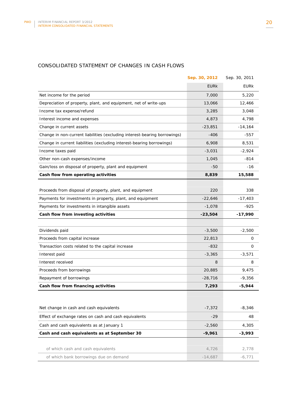# CONSOLIDATED STATEMENT OF CHANGES IN CASH FLOWS

|                                                                           | Sep. 30, 2012 | Sep. 30, 2011 |
|---------------------------------------------------------------------------|---------------|---------------|
|                                                                           | <b>EURK</b>   | <b>EURK</b>   |
| Net income for the period                                                 | 7,000         | 5,220         |
| Depreciation of property, plant, and equipment, net of write-ups          | 13,066        | 12,466        |
| Income tax expense/refund                                                 | 3,285         | 3,048         |
| Interest income and expenses                                              | 4,873         | 4,798         |
| Change in current assets                                                  | -23,851       | $-14,164$     |
| Change in non-current liabilities (excluding interest-bearing borrowings) | $-406$        | -557          |
| Change in current liabilities (excluding interest-bearing borrowings)     | 6,908         | 8,531         |
| Income taxes paid                                                         | $-3,031$      | $-2,924$      |
| Other non-cash expenses/income                                            | 1,045         | $-814$        |
| Gain/loss on disposal of property, plant and equipment                    | -50           | $-16$         |
| Cash flow from operating activities                                       | 8,839         | 15,588        |
|                                                                           |               |               |
| Proceeds from disposal of property, plant, and equipment                  | 220           | 338           |
| Payments for investments in property, plant, and equipment                | $-22,646$     | $-17,403$     |
| Payments for investments in intangible assets                             | $-1,078$      | -925          |
| Cash flow from investing activities                                       | $-23,504$     | $-17,990$     |
|                                                                           |               |               |
| Dividends paid                                                            | $-3,500$      | $-2,500$      |
| Proceeds from capital increase                                            | 22,813        | 0             |
| Transaction costs related to the capital increase                         | $-832$        | 0             |
| Interest paid                                                             | $-3,365$      | $-3,571$      |
| Interest received                                                         | 8             | 8             |
| Proceeds from borrowings                                                  | 20,885        | 9,475         |
| Repayment of borrowings                                                   | $-28,716$     | $-9,356$      |
| Cash flow from financing activities                                       | 7,293         | $-5,944$      |
|                                                                           |               |               |
| Net change in cash and cash equivalents                                   | $-7,372$      | $-8,346$      |
| Effect of exchange rates on cash and cash equivalents                     | $-29$         | 48            |
| Cash and cash equivalents as at January 1                                 | $-2,560$      | 4,305         |
| Cash and cash equivalents as at September 30                              | $-9,961$      | $-3,993$      |
|                                                                           |               |               |
| of which cash and cash equivalents                                        | 4,726         | 2,778         |
| of which bank borrowings due on demand                                    | $-14,687$     | $-6,771$      |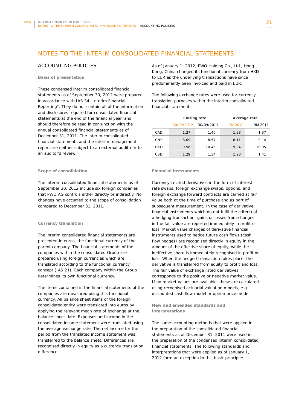# NOTES TO THE INTERIM CONSOLIDATED FINANCIAL STATEMENTS

### ACCOUNTING POLICIES

#### **Basis of presentation**

These condensed interim consolidated financial statements as of September 30, 2012 were prepared in accordance with IAS 34 "Interim Financial Reporting". They do not contain all of the information and disclosures required for consolidated financial statements at the end of the financial year, and should therefore be read in conjunction with the annual consolidated financial statements as of December 31, 2011. The interim consolidated financial statements and the interim management report are neither subject to an external audit nor to an auditor's review.

#### **Scope of consolidation**

The interim consolidated financial statements as of September 30, 2012 include six foreign companies that PWO AG controls either directly or indirectly. No changes have occurred to the scope of consolidation compared to December 31, 2011.

#### **Currency translation**

The interim consolidated financial statements are presented in euros, the functional currency of the parent company. The financial statements of the companies within the consolidated Group are prepared using foreign currencies which are translated according to the functional currency concept (IAS 21). Each company within the Group determines its own functional currency.

The items contained in the financial statements of the companies are measured using this functional currency. All balance sheet items of the foreign consolidated entity were translated into euros by applying the relevant mean rate of exchange at the balance sheet date. Expenses and income in the consolidated income statement were translated using the average exchange rate. The net income for the period from the translated income statement was transferred to the balance sheet. Differences are recognised directly in equity as a currency translation difference.

As of January 1, 2012, PWO Holding Co., Ltd., Hong Kong, China changed its functional currency from HKD to EUR as the underlying transactions have since predominantly been invoiced and paid in EUR.

The following exchange rates were used for currency translation purposes within the interim consolidated financial statements:

|     | Closing rate |            | Average rate |         |
|-----|--------------|------------|--------------|---------|
|     | 30/09/2012   | 30/09/2011 | 9M 2012      | 9M 2011 |
| CAD | 1.27         | 1.40       | 1.28         | 1.37    |
| CNY | 8.09         | 8.57       | 8.11         | 9.14    |
| HKD | 9.98         | 10.45      | 9.94         | 10.95   |
| USD | 1.29         | 1.34       | 1.28         | 1.41    |

#### **Financial instruments**

Currency-related derivatives in the form of interestrate swaps, foreign exchange swaps, options, and foreign exchange forward contracts are carried at fair value both at the time of purchase and as part of subsequent measurement. In the case of derivative financial instruments which do not fulfil the criteria of a hedging transaction, gains or losses from changes in the fair value are reported immediately in profit or loss. Market value changes of derivative financial instruments used to hedge future cash flows (cash flow hedges) are recognised directly in equity in the amount of the effective share of equity, while the ineffective share is immediately recognised in profit or loss. When the hedged transaction takes place, the derivative is transferred from equity to profit and loss. The fair value of exchange listed derivatives corresponds to the positive or negative market value. If no market values are available, these are calculated using recognised actuarial valuation models, e.g. discounted cash flow model or option price model.

#### **New and amended standards and interpretations**

The same accounting methods that were applied in the preparation of the consolidated financial statements as at December 31, 2011 were used in the preparation of the condensed interim consolidated financial statements. The following standards and interpretations that were applied as of January 1, 2012 form an exception to this basic principle: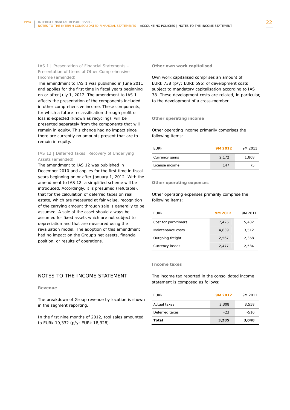### IAS 1 | Presentation of Financial Statements – Presentation of Items of Other Comprehensive Income (amended)

The amendment to IAS 1 was published in June 2011 and applies for the first time in fiscal years beginning on or after July 1, 2012. The amendment to IAS 1 affects the presentation of the components included in other comprehensive income. These components, for which a future reclassification through profit or loss is expected (known as recycling), will be presented separately from the components that will remain in equity. This change had no impact since there are currently no amounts present that are to remain in equity.

### IAS 12 | Deferred Taxes: Recovery of Underlying Assets (amended)

The amendment to IAS 12 was published in December 2010 and applies for the first time in fiscal years beginning on or after January 1, 2012. With the amendment to IAS 12, a simplified scheme will be introduced. Accordingly, it is presumed (refutable), that for the calculation of deferred taxes on real estate, which are measured at fair value, recognition of the carrying amount through sale is generally to be assumed. A sale of the asset should always be assumed for fixed assets which are not subject to depreciation and that are measured using the revaluation model. The adoption of this amendment had no impact on the Group's net assets, financial position, or results of operations.

# NOTES TO THE INCOME STATEMENT

#### **Revenue**

The breakdown of Group revenue by location is shown in the segment reporting.

In the first nine months of 2012, tool sales amounted to EURk 19,332 (p/y: EURk 18,328).

#### **Other own work capitalised**

Own work capitalised comprises an amount of EURk 738 (p/y: EURk 596) of development costs subject to mandatory capitalisation according to IAS 38. These development costs are related, in particular, to the development of a cross-member.

#### **Other operating income**

Other operating income primarily comprises the following items:

| EURk           | 9M 2012 | 9M 2011 |
|----------------|---------|---------|
| Currency gains | 2.172   | 1.808   |
| License income | 147     | 75      |

#### **Other operating expenses**

Other operating expenses primarily comprise the following items:

| EURK                 | 9M 2012 | 9M 2011 |
|----------------------|---------|---------|
| Cost for part-timers | 7.426   | 5.432   |
| Maintenance costs    | 4.839   | 3.512   |
| Outgoing freight     | 2.567   | 2.368   |
| Currency losses      | 2.477   | 2.584   |

#### **Income taxes**

The income tax reported in the consolidated income statement is composed as follows:

| <b>EURK</b>    | 9M 2012 | 9M 2011 |
|----------------|---------|---------|
| Actual taxes   | 3,308   | 3,558   |
| Deferred taxes | $-23$   | $-510$  |
| Total          | 3,285   | 3,048   |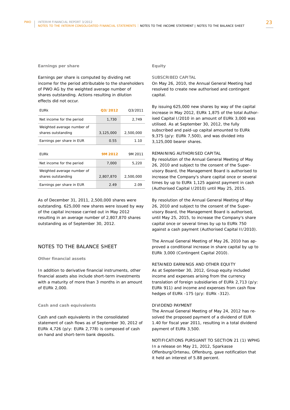#### **Earnings per share**

Earnings per share is computed by dividing net income for the period attributable to the shareholders of PWO AG by the weighted average number of shares outstanding. Actions resulting in dilution effects did not occur.

| <b>EURK</b>                                      | 03/2012   | 03/2011   |
|--------------------------------------------------|-----------|-----------|
| Net income for the period                        | 1,730     | 2,749     |
| Weighted average number of<br>shares outstanding | 3,125,000 | 2,500,000 |
| Earnings per share in EUR                        | 0.55      | 1.10      |
| EURk                                             | 9M 2012   | 9M 2011   |
| Net income for the period                        | 7,000     | 5,220     |
| Weighted average number of<br>shares outstanding | 2,807,870 | 2,500,000 |
| Earnings per share in EUR                        | 2.49      | 2.09      |

As of December 31, 2011, 2,500,000 shares were outstanding. 625,000 new shares were issued by way of the capital increase carried out in May 2012 resulting in an average number of 2,807,870 shares outstanding as of September 30, 2012.

### NOTES TO THE BALANCE SHEET

#### **Other financial assets**

In addition to derivative financial instruments, other financial assets also include short-term investments with a maturity of more than 3 months in an amount of EURk 2,000.

#### **Cash and cash equivalents**

Cash and cash equivalents in the consolidated statement of cash flows as of September 30, 2012 of EURk 4,726 (p/y: EURk 2,778) is composed of cash on hand and short-term bank deposits.

### **Equity**

## SUBSCRIBED CAPITAL

On May 26, 2010, the Annual General Meeting had resolved to create new authorised and contingent capital.

By issuing 625,000 new shares by way of the capital increase in May 2012, EURk 1,875 of the total Authorised Capital I/2010 in an amount of EURk 3,000 was utilised. As at September 30, 2012, the fully subscribed and paid-up capital amounted to EURk 9,375 (p/y: EURk 7,500), and was divided into 3,125,000 bearer shares.

#### REMAINING AUTHORISED CAPITAL

By resolution of the Annual General Meeting of May 26, 2010 and subject to the consent of the Supervisory Board, the Management Board is authorised to increase the Company's share capital once or several times by up to EURk 1,125 against payment in cash (Authorised Capital I/2010) until May 25, 2015.

By resolution of the Annual General Meeting of May 26, 2010 and subject to the consent of the Supervisory Board, the Management Board is authorised, until May 25, 2015, to increase the Company's share capital once or several times by up to EURk 750 against a cash payment (Authorised Capital II/2010).

The Annual General Meeting of May 26, 2010 has approved a conditional increase in share capital by up to EURk 3,000 (Contingent Capital 2010).

#### RETAINED EARNINGS AND OTHER EQUITY

As at September 30, 2012, Group equity included income and expenses arising from the currency translation of foreign subsidiaries of EURk 2,713 (p/y: EURk 911) and income and expenses from cash flow hedges of EURk -175 (p/y: EURk -312).

#### DIVIDEND PAYMENT

The Annual General Meeting of May 24, 2012 has resolved the proposed payment of a dividend of EUR 1.40 for fiscal year 2011, resulting in a total dividend payment of EURk 3,500.

NOTIFICATIONS PURSUANT TO SECTION 21 (1) WPHG In a release on May 21, 2012, Sparkasse Offenburg/Ortenau, Offenburg, gave notification that it held an interest of 5.88 percent.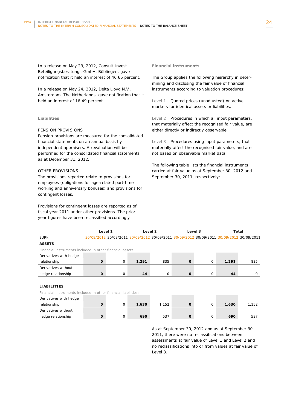In a release on May 23, 2012, Consult Invest Beteiligungsberatungs-GmbH, Böblingen, gave notification that it held an interest of 46.65 percent.

In a release on May 24, 2012, Delta Lloyd N.V., Amsterdam, The Netherlands, gave notification that it held an interest of 16.49 percent.

#### **Liabilities**

#### PENSION PROVISIONS

Pension provisions are measured for the consolidated financial statements on an annual basis by independent appraisers. A revaluation will be performed for the consolidated financial statements as at December 31, 2012.

#### OTHER PROVISIONS

The provisions reported relate to provisions for employees (obligations for age-related part-time working and anniversary bonuses) and provisions for contingent losses.

Provisions for contingent losses are reported as of fiscal year 2011 under other provisions. The prior year figures have been reclassified accordingly.

#### **Financial instruments**

The Group applies the following hierarchy in determining and disclosing the fair value of financial instruments according to valuation procedures:

Level 1 | Quoted prices (unadjusted) on active markets for identical assets or liabilities.

Level 2 | Procedures in which all input parameters, that materially affect the recognised fair value, are either directly or indirectly observable.

Level 3 | Procedures using input parameters, that materially affect the recognised fair value, and are not based on observable market data.

The following table lists the financial instruments carried at fair value as at September 30, 2012 and September 30, 2011, respectively:

|                                                           | Level 1 |         | Level <sub>2</sub><br>Level 3                                                           |             | Total       |             |       |     |
|-----------------------------------------------------------|---------|---------|-----------------------------------------------------------------------------------------|-------------|-------------|-------------|-------|-----|
| <b>EURK</b>                                               |         |         | 30/09/2012 30/09/2011 30/09/2012 30/09/2011 30/09/2012 30/09/2011 30/09/2012 30/09/2011 |             |             |             |       |     |
| <b>ASSETS</b>                                             |         |         |                                                                                         |             |             |             |       |     |
| Financial instruments included in other financial assets: |         |         |                                                                                         |             |             |             |       |     |
| Derivatives with hedge                                    |         |         |                                                                                         |             |             |             |       |     |
| relationship                                              | O       | $\circ$ | 1,291                                                                                   | 835         | $\mathbf 0$ | 0           | 1,291 | 835 |
| Derivatives without                                       |         |         |                                                                                         |             |             |             |       |     |
| hedge relationship                                        | O       | 0       | 44                                                                                      | $\mathbf 0$ | $\mathbf 0$ | $\mathbf 0$ | 44    |     |
|                                                           |         |         |                                                                                         |             |             |             |       |     |
|                                                           |         |         |                                                                                         |             |             |             |       |     |

### **LIABILITIES**

Financial instruments included in other financial liabilities:

| Derivatives with hedge |  |       |       |  |       |       |
|------------------------|--|-------|-------|--|-------|-------|
| relationship           |  | 1,630 | 1.152 |  | 1,630 | 1,152 |
| Derivatives without    |  |       |       |  |       |       |
| hedge relationship     |  | 690   | 537   |  | 690   | 537   |

As at September 30, 2012 and as at September 30, 2011, there were no reclassifications between assessments at fair value of Level 1 and Level 2 and no reclassifications into or from values at fair value of  $L$ evel 3.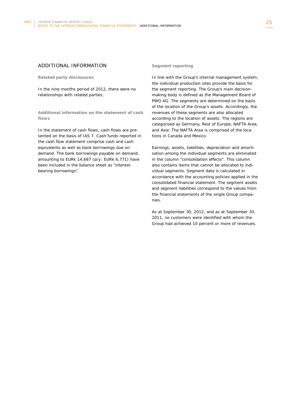## ADDITIONAL INFORMATION

**Related party disclosures** 

In the nine months period of 2012, there were no relationships with related parties.

**Additional information on the statement of cash flows** 

In the statement of cash flows, cash flows are presented on the basis of IAS 7. Cash funds reported in the cash flow statement comprise cash and cash equivalents as well as bank borrowings due on demand. The bank borrowings payable on demand, amounting to EURk 14,687 (p/y: EURk 6,771) have been included in the balance sheet as "interestbearing borrowings".

#### **Segment reporting**

In line with the Group's internal management system, the individual production sites provide the basis for the segment reporting. The Group's main decisionmaking body is defined as the Management Board of PWO AG. The segments are determined on the basis of the location of the Group's assets. Accordingly, the revenues of these segments are also allocated according to the location of assets. The regions are categorised as Germany, Rest of Europe, NAFTA Area, and Asia. The NAFTA Area is comprised of the locations in Canada and Mexico.

Earnings, assets, liabilities, depreciation and amortisation among the individual segments are eliminated in the column "consolidation effects". This column also contains items that cannot be allocated to individual segments. Segment data is calculated in accordance with the accounting policies applied in the consolidated financial statement. The segment assets and segment liabilities correspond to the values from the financial statements of the single Group companies.

As at September 30, 2012, and as at September 30, 2011, no customers were identified with whom the Group had achieved 10 percent or more of revenues.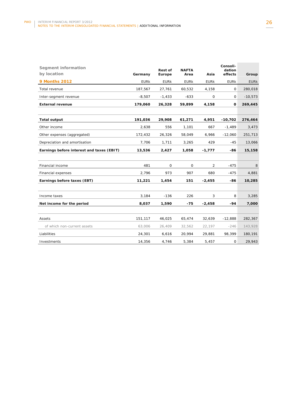| <b>Segment information</b><br>by location | Germany     | Rest of<br>Europe | <b>NAFTA</b><br>Area | Asia        | Consoli-<br>dation<br>effects | Group       |
|-------------------------------------------|-------------|-------------------|----------------------|-------------|-------------------------------|-------------|
| <b>9 Months 2012</b>                      | <b>EURK</b> | <b>EURK</b>       | <b>EURK</b>          | <b>EURK</b> | <b>EURK</b>                   | <b>EURK</b> |
| Total revenue                             | 187,567     | 27,761            | 60,532               | 4,158       | 0                             | 280,018     |
| Inter-segment revenue                     | $-8,507$    | $-1,433$          | $-633$               | 0           | 0                             | $-10,573$   |
| <b>External revenue</b>                   | 179,060     | 26,328            | 59,899               | 4,158       | 0                             | 269,445     |
|                                           |             |                   |                      |             |                               |             |
| <b>Total output</b>                       | 191,036     | 29,908            | 61,271               | 4,951       | $-10,702$                     | 276,464     |
| Other income                              | 2,638       | 556               | 1,101                | 667         | $-1,489$                      | 3,473       |
| Other expenses (aggregated)               | 172,432     | 26,326            | 58,049               | 6,966       | $-12,060$                     | 251,713     |
| Depreciation and amortisation             | 7,706       | 1,711             | 3,265                | 429         | $-45$                         | 13,066      |
| Earnings before interest and taxes (EBIT) | 13,536      | 2,427             | 1,058                | $-1,777$    | -86                           | 15,158      |
|                                           |             |                   |                      |             |                               |             |
| Financial income                          | 481         | $\mathbf 0$       | 0                    | 2           | $-475$                        | 8           |
| Financial expenses                        | 2,796       | 973               | 907                  | 680         | $-475$                        | 4,881       |
| Earnings before taxes (EBT)               | 11,221      | 1,454             | 151                  | $-2,455$    | -86                           | 10,285      |
|                                           |             |                   |                      |             |                               |             |
| Income taxes                              | 3,184       | $-136$            | 226                  | 3           | 8                             | 3,285       |
| Net income for the period                 | 8,037       | 1,590             | $-75$                | $-2,458$    | $-94$                         | 7,000       |
|                                           |             |                   |                      |             |                               |             |
| Assets                                    | 151,117     | 46,025            | 65,474               | 32,639      | $-12,888$                     | 282,367     |
| of which non-current assets               | 63,006      | 26,409            | 32,562               | 22,197      | $-246$                        | 143,928     |
| Liabilities                               | 24,301      | 6,616             | 20,994               | 29,881      | 98,399                        | 180,191     |
| Investments                               | 14,356      | 4,746             | 5,384                | 5,457       | 0                             | 29,943      |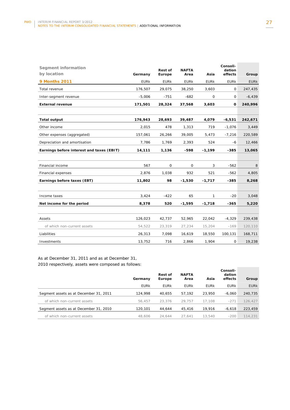| Segment information<br>by location        | Germany     | <b>Rest of</b><br>Europe | <b>NAFTA</b><br>Area | Asia         | Consoli-<br>dation<br>effects | Group       |
|-------------------------------------------|-------------|--------------------------|----------------------|--------------|-------------------------------|-------------|
| <b>9 Months 2011</b>                      | <b>EURK</b> | <b>EURK</b>              | <b>EURK</b>          | <b>EURK</b>  | <b>EURK</b>                   | <b>EURK</b> |
| Total revenue                             | 176,507     | 29,075                   | 38,250               | 3,603        | 0                             | 247,435     |
| Inter-segment revenue                     | $-5,006$    | $-751$                   | $-682$               | 0            | 0                             | $-6,439$    |
| <b>External revenue</b>                   | 171,501     | 28,324                   | 37,568               | 3,603        | 0                             | 240,996     |
|                                           |             |                          |                      |              |                               |             |
| <b>Total output</b>                       | 176,943     | 28,693                   | 39,487               | 4,079        | $-6,531$                      | 242,671     |
| Other income                              | 2,015       | 478                      | 1,313                | 719          | $-1,076$                      | 3,449       |
| Other expenses (aggregated)               | 157,061     | 26,266                   | 39,005               | 5,473        | $-7,216$                      | 220,589     |
| Depreciation and amortisation             | 7,786       | 1,769                    | 2,393                | 524          | -6                            | 12,466      |
| Earnings before interest and taxes (EBIT) | 14,111      | 1,136                    | -598                 | $-1,199$     | $-385$                        | 13,065      |
|                                           |             |                          |                      |              |                               |             |
| Financial income                          | 567         | 0                        | $\mathsf{O}$         | 3            | $-562$                        | 8           |
| Financial expenses                        | 2,876       | 1,038                    | 932                  | 521          | $-562$                        | 4,805       |
| Earnings before taxes (EBT)               | 11,802      | 98                       | $-1,530$             | $-1,717$     | $-385$                        | 8,268       |
|                                           |             |                          |                      |              |                               |             |
| Income taxes                              | 3,424       | $-422$                   | 65                   | $\mathbf{1}$ | $-20$                         | 3,048       |
| Net income for the period                 | 8,378       | 520                      | $-1,595$             | $-1,718$     | $-365$                        | 5,220       |
|                                           |             |                          |                      |              |                               |             |
| Assets                                    | 126,023     | 42,737                   | 52,965               | 22,042       | $-4,329$                      | 239,438     |
| of which non-current assets               | 54,522      | 23,319                   | 27,234               | 15,204       | $-169$                        | 120,110     |
| Liabilities                               | 26,313      | 7,098                    | 16,619               | 18,550       | 100,131                       | 168,711     |
| Investments                               | 13,752      | 716                      | 2,866                | 1,904        | 0                             | 19,238      |

As at December 31, 2011 and as at December 31, 2010 respectively, assets were composed as follows:

|                                        | Germany     | <b>Rest of</b><br>Europe | <b>NAFTA</b><br>Area | Asia        | Consoli-<br>dation<br>effects | Group       |
|----------------------------------------|-------------|--------------------------|----------------------|-------------|-------------------------------|-------------|
|                                        | <b>EURK</b> | <b>EURK</b>              | <b>EURK</b>          | <b>EURK</b> | <b>EURK</b>                   | <b>EURK</b> |
| Segment assets as at December 31, 2011 | 124.998     | 40.655                   | 57.192               | 23,950      | -6.060                        | 240,735     |
| of which non-current assets            | 56.457      | 23.376                   | 29.757               | 17.108      | $-271$                        | 126,427     |
| Segment assets as at December 31, 2010 | 120.101     | 44.644                   | 45.416               | 19.916      | -6.618                        | 223,459     |
| of which non-current assets            | 48,606      | 24.644                   | 27.641               | 13,540      | $-200$                        | 114,231     |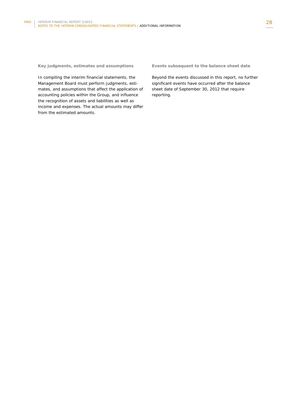**Key judgments, estimates and assumptions** 

In compiling the interim financial statements, the Management Board must perform judgments, estimates, and assumptions that affect the application of accounting policies within the Group, and influence the recognition of assets and liabilities as well as income and expenses. The actual amounts may differ from the estimated amounts.

**Events subsequent to the balance sheet date** 

Beyond the events discussed in this report, no further significant events have occurred after the balance sheet date of September 30, 2012 that require reporting.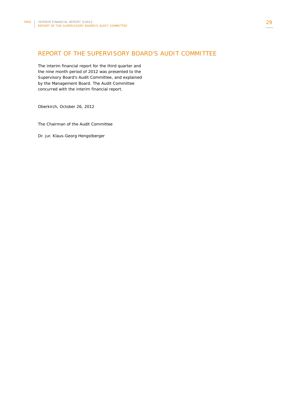# REPORT OF THE SUPERVISORY BOARD'S AUDIT COMMITTEE

The interim financial report for the third quarter and the nine month period of 2012 was presented to the Supervisory Board's Audit Committee, and explained by the Management Board. The Audit Committee concurred with the interim financial report.

Oberkirch, October 26, 2012

The Chairman of the Audit Committee

Dr. jur. Klaus-Georg Hengstberger